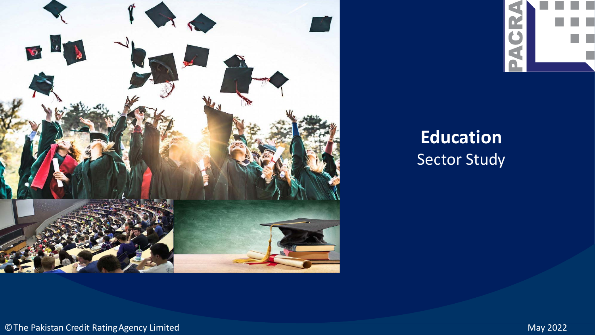



# **Education** Sector Study

©The Pakistan Credit RatingAgency Limited May 2022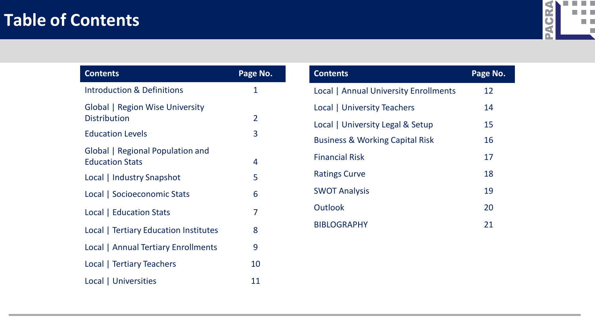### **Table of Contents**



| <b>Contents</b>                                            | Page No.       |
|------------------------------------------------------------|----------------|
| <b>Introduction &amp; Definitions</b>                      | 1              |
| Global   Region Wise University<br><b>Distribution</b>     | $\overline{2}$ |
| <b>Education Levels</b>                                    | 3              |
| Global   Regional Population and<br><b>Education Stats</b> | 4              |
| Local   Industry Snapshot                                  | 5              |
| Local   Socioeconomic Stats                                | 6              |
| Local   Education Stats                                    | 7              |
| Local   Tertiary Education Institutes                      | 8              |
| <b>Local   Annual Tertiary Enrollments</b>                 | 9              |
| Local   Tertiary Teachers                                  | 10             |
| Local   Universities                                       | 11             |

| <b>Contents</b>                            | Page No. |
|--------------------------------------------|----------|
| Local   Annual University Enrollments      | 12       |
| Local   University Teachers                | 14       |
| Local   University Legal & Setup           | 15       |
| <b>Business &amp; Working Capital Risk</b> | 16       |
| <b>Financial Risk</b>                      | 17       |
| <b>Ratings Curve</b>                       | 18       |
| <b>SWOT Analysis</b>                       | 19       |
| Outlook                                    | 20       |
| <b>BIBLOGRAPHY</b>                         | 21       |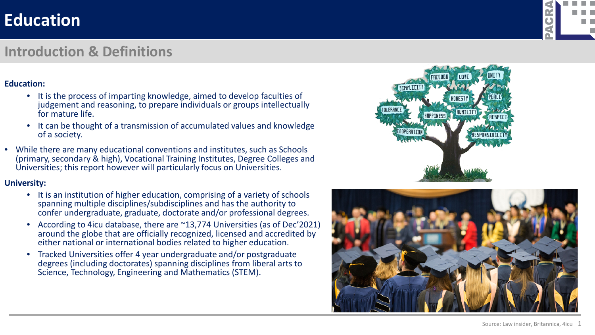#### **Introduction & Definitions**

#### **Education:**

- It is the process of imparting knowledge, aimed to develop faculties of judgement and reasoning, to prepare individuals or groups intellectually for mature life.
- It can be thought of a transmission of accumulated values and knowledge of a society.
- While there are many educational conventions and institutes, such as Schools (primary, secondary & high), Vocational Training Institutes, Degree Colleges and Universities; this report however will particularly focus on Universities.

#### **University:**

- It is an institution of higher education, comprising of a variety of schools spanning multiple disciplines/subdisciplines and has the authority to confer undergraduate, graduate, doctorate and/or professional degrees.
- According to 4icu database, there are ~13,774 Universities (as of Dec'2021) around the globe that are officially recognized, licensed and accredited by either national or international bodies related to higher education.
- Tracked Universities offer 4 year undergraduate and/or postgraduate degrees (including doctorates) spanning disciplines from liberal arts to Science, Technology, Engineering and Mathematics (STEM).





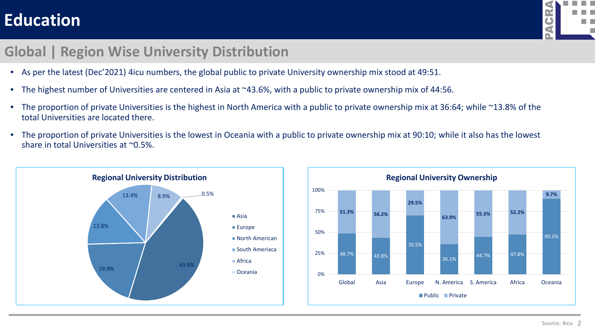

#### **Global | Region Wise University Distribution**

- As per the latest (Dec'2021) 4icu numbers, the global public to private University ownership mix stood at 49:51.
- The highest number of Universities are centered in Asia at ~43.6%, with a public to private ownership mix of 44:56.
- The proportion of private Universities is the highest in North America with a public to private ownership mix at 36:64; while ~13.8% of the total Universities are located there.
- The proportion of private Universities is the lowest in Oceania with a public to private ownership mix at 90:10; while it also has the lowest share in total Universities at ~0.5%.



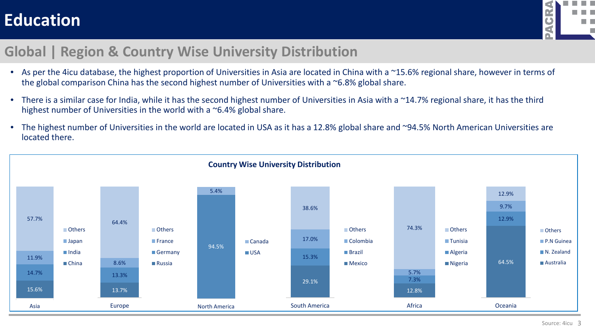

#### **Global | Region & Country Wise University Distribution**

- As per the 4icu database, the highest proportion of Universities in Asia are located in China with a ~15.6% regional share, however in terms of the global comparison China has the second highest number of Universities with a ~6.8% global share.
- There is a similar case for India, while it has the second highest number of Universities in Asia with a ~14.7% regional share, it has the third highest number of Universities in the world with a ~6.4% global share.
- The highest number of Universities in the world are located in USA as it has a 12.8% global share and ~94.5% North American Universities are located there.

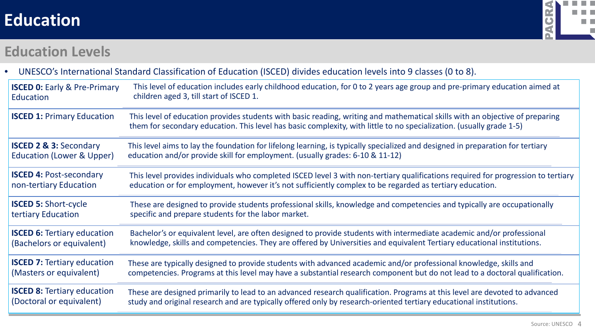

#### **Education Levels**

|                                         | UNESCO's International Standard Classification of Education (ISCED) divides education levels into 9 classes (0 to 8).                                                                                                                                |
|-----------------------------------------|------------------------------------------------------------------------------------------------------------------------------------------------------------------------------------------------------------------------------------------------------|
| <b>ISCED 0: Early &amp; Pre-Primary</b> | This level of education includes early childhood education, for 0 to 2 years age group and pre-primary education aimed at                                                                                                                            |
| Education                               | children aged 3, till start of ISCED 1.                                                                                                                                                                                                              |
| <b>ISCED 1: Primary Education</b>       | This level of education provides students with basic reading, writing and mathematical skills with an objective of preparing<br>them for secondary education. This level has basic complexity, with little to no specialization. (usually grade 1-5) |
| <b>ISCED 2 &amp; 3: Secondary</b>       | This level aims to lay the foundation for lifelong learning, is typically specialized and designed in preparation for tertiary                                                                                                                       |
| Education (Lower & Upper)               | education and/or provide skill for employment. (usually grades: 6-10 & 11-12)                                                                                                                                                                        |
| <b>ISCED 4: Post-secondary</b>          | This level provides individuals who completed ISCED level 3 with non-tertiary qualifications required for progression to tertiary                                                                                                                    |
| non-tertiary Education                  | education or for employment, however it's not sufficiently complex to be regarded as tertiary education.                                                                                                                                             |
| <b>ISCED 5: Short-cycle</b>             | These are designed to provide students professional skills, knowledge and competencies and typically are occupationally                                                                                                                              |
| tertiary Education                      | specific and prepare students for the labor market.                                                                                                                                                                                                  |
| <b>ISCED 6: Tertiary education</b>      | Bachelor's or equivalent level, are often designed to provide students with intermediate academic and/or professional                                                                                                                                |
| (Bachelors or equivalent)               | knowledge, skills and competencies. They are offered by Universities and equivalent Tertiary educational institutions.                                                                                                                               |
| <b>ISCED 7: Tertiary education</b>      | These are typically designed to provide students with advanced academic and/or professional knowledge, skills and                                                                                                                                    |
| (Masters or equivalent)                 | competencies. Programs at this level may have a substantial research component but do not lead to a doctoral qualification.                                                                                                                          |
| <b>ISCED 8: Tertiary education</b>      | These are designed primarily to lead to an advanced research qualification. Programs at this level are devoted to advanced                                                                                                                           |
| (Doctoral or equivalent)                | study and original research and are typically offered only by research-oriented tertiary educational institutions.                                                                                                                                   |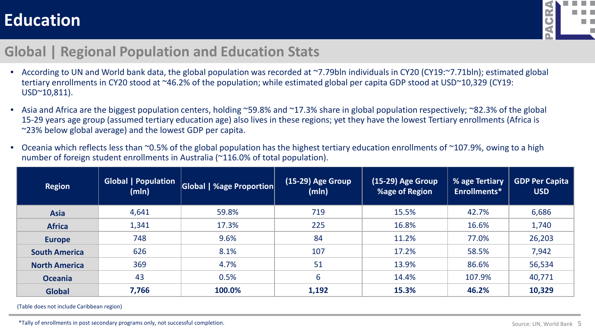

#### **Global | Regional Population and Education Stats**

- According to UN and World bank data, the global population was recorded at ~7.79bln individuals in CY20 (CY19:~7.71bln); estimated global tertiary enrollments in CY20 stood at ~46.2% of the population; while estimated global per capita GDP stood at USD~10,329 (CY19: USD~10,811).
- Asia and Africa are the biggest population centers, holding ~59.8% and ~17.3% share in global population respectively; ~82.3% of the global 15-29 years age group (assumed tertiary education age) also lives in these regions; yet they have the lowest Tertiary enrollments (Africa is ~23% below global average) and the lowest GDP per capita.
- Oceania which reflects less than ~0.5% of the global population has the highest tertiary education enrollments of ~107.9%, owing to a high number of foreign student enrollments in Australia (~116.0% of total population).

| <b>Region</b>        | <b>Global   Population</b><br>(mln) | Global   %age Proportion | (15-29) Age Group<br>(mIn) | (15-29) Age Group<br>%age of Region | $\sqrt{ }$ % age Tertiary<br>Enrollments* | <b>GDP Per Capita</b><br><b>USD</b> |
|----------------------|-------------------------------------|--------------------------|----------------------------|-------------------------------------|-------------------------------------------|-------------------------------------|
| <b>Asia</b>          | 4,641                               | 59.8%                    | 719                        | 15.5%                               | 42.7%                                     | 6,686                               |
| <b>Africa</b>        | 1,341                               | 17.3%                    | 225                        | 16.8%                               | 16.6%                                     | 1,740                               |
| <b>Europe</b>        | 748                                 | 9.6%                     | 84                         | 11.2%                               | 77.0%                                     | 26,203                              |
| <b>South America</b> | 626                                 | 8.1%                     | 107                        | 17.2%                               | 58.5%                                     | 7,942                               |
| <b>North America</b> | 369                                 | 4.7%                     | 51                         | 13.9%                               | 86.6%                                     | 56,534                              |
| <b>Oceania</b>       | 43                                  | 0.5%                     | 6                          | 14.4%                               | 107.9%                                    | 40,771                              |
| <b>Global</b>        | 7,766                               | 100.0%                   | 1,192                      | 15.3%                               | 46.2%                                     | 10,329                              |

(Table does not include Caribbean region)

\*Tally of enrollments in post secondary programs only, not successful completion.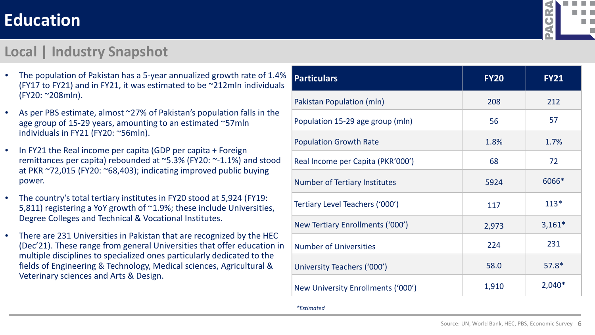

#### **Local | Industry Snapshot**

- The population of Pakistan has a 5-year annualized growth rate of 1.4% (FY17 to FY21) and in FY21, it was estimated to be ~212mln individuals (FY20: ~208mln).
- As per PBS estimate, almost ~27% of Pakistan's population falls in the age group of 15-29 years, amounting to an estimated ~57mln individuals in FY21 (FY20: ~56mln).
- In FY21 the Real income per capita (GDP per capita + Foreign remittances per capita) rebounded at ~5.3% (FY20: ~-1.1%) and stood at PKR ~72,015 (FY20: ~68,403); indicating improved public buying power.
- The country's total tertiary institutes in FY20 stood at 5,924 (FY19: 5,811) registering a YoY growth of ~1.9%; these include Universities, Degree Colleges and Technical & Vocational Institutes.
- There are 231 Universities in Pakistan that are recognized by the HEC (Dec'21). These range from general Universities that offer education in multiple disciplines to specialized ones particularly dedicated to the fields of Engineering & Technology, Medical sciences, Agricultural & Veterinary sciences and Arts & Design.

| <b>Particulars</b>                   | <b>FY20</b> | <b>FY21</b> |
|--------------------------------------|-------------|-------------|
| Pakistan Population (mln)            | 208         | 212         |
| Population 15-29 age group (mln)     | 56          | 57          |
| <b>Population Growth Rate</b>        | 1.8%        | 1.7%        |
| Real Income per Capita (PKR'000')    | 68          | 72          |
| <b>Number of Tertiary Institutes</b> | 5924        | 6066*       |
| Tertiary Level Teachers ('000')      | 117         | $113*$      |
| New Tertiary Enrollments ('000')     | 2,973       | $3,161*$    |
| <b>Number of Universities</b>        | 224         | 231         |
| University Teachers ('000')          | 58.0        | $57.8*$     |
| New University Enrollments ('000')   | 1,910       | $2,040*$    |

*\*Estimated*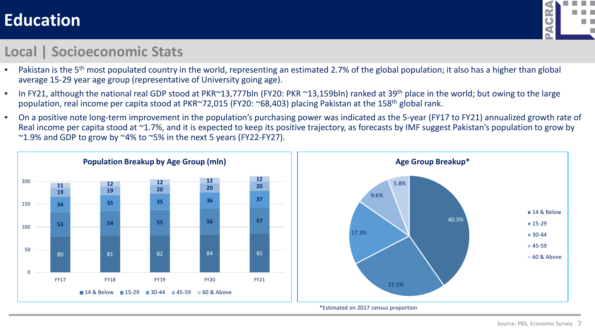

#### **Local | Socioeconomic Stats**

- Pakistan is the 5<sup>th</sup> most populated country in the world, representing an estimated 2.7% of the global population; it also has a higher than global average 15-29 year age group (representative of University going age).
- In FY21, although the national real GDP stood at PKR~13,777bln (FY20: PKR ~13,159bln) ranked at 39<sup>th</sup> place in the world; but owing to the large population, real income per capita stood at PKR~72,015 (FY20: ~68,403) placing Pakistan at the 158th global rank.
- On a positive note long-term improvement in the population's purchasing power was indicated as the 5-year (FY17 to FY21) annualized growth rate of Real income per capita stood at ~1.7%, and it is expected to keep its positive trajectory, as forecasts by IMF suggest Pakistan's population to grow by  $\sim$ 1.9% and GDP to grow by  $\sim$ 4% to  $\sim$ 5% in the next 5 years (FY22-FY27).

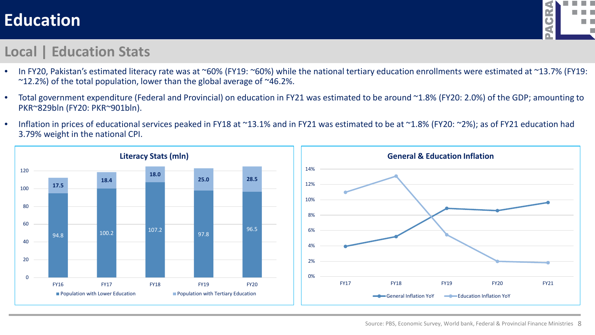

#### **Local | Education Stats**

- In FY20, Pakistan's estimated literacy rate was at ~60% (FY19: ~60%) while the national tertiary education enrollments were estimated at ~13.7% (FY19:  $\sim$ 12.2%) of the total population, lower than the global average of  $\sim$ 46.2%.
- Total government expenditure (Federal and Provincial) on education in FY21 was estimated to be around ~1.8% (FY20: 2.0%) of the GDP; amounting to PKR~829bln (FY20: PKR~901bln).
- Inflation in prices of educational services peaked in FY18 at ~13.1% and in FY21 was estimated to be at ~1.8% (FY20: ~2%); as of FY21 education had 3.79% weight in the national CPI.

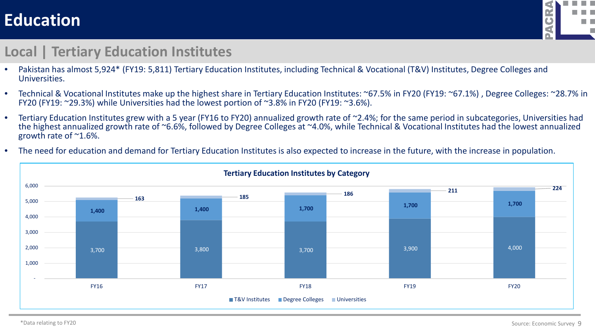

#### **Local | Tertiary Education Institutes**

- Pakistan has almost 5,924\* (FY19: 5,811) Tertiary Education Institutes, including Technical & Vocational (T&V) Institutes, Degree Colleges and Universities.
- Technical & Vocational Institutes make up the highest share in Tertiary Education Institutes: ~67.5% in FY20 (FY19: ~67.1%) , Degree Colleges: ~28.7% in FY20 (FY19: ~29.3%) while Universities had the lowest portion of ~3.8% in FY20 (FY19: ~3.6%).
- Tertiary Education Institutes grew with a 5 year (FY16 to FY20) annualized growth rate of ~2.4%; for the same period in subcategories, Universities had the highest annualized growth rate of ~6.6%, followed by Degree Colleges at ~4.0%, while Technical & Vocational Institutes had the lowest annualized growth rate of ~1.6%.
- The need for education and demand for Tertiary Education Institutes is also expected to increase in the future, with the increase in population.

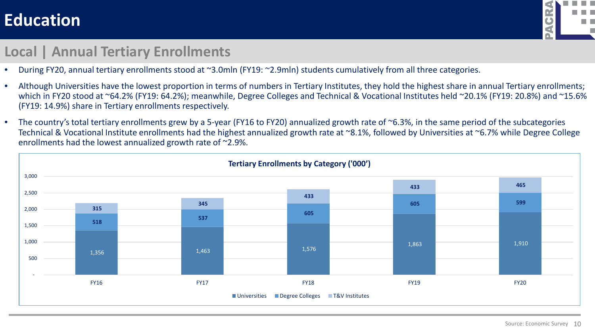

#### **Local | Annual Tertiary Enrollments**

- During FY20, annual tertiary enrollments stood at ~3.0mln (FY19: ~2.9mln) students cumulatively from all three categories.
- Although Universities have the lowest proportion in terms of numbers in Tertiary Institutes, they hold the highest share in annual Tertiary enrollments; which in FY20 stood at ~64.2% (FY19: 64.2%); meanwhile, Degree Colleges and Technical & Vocational Institutes held ~20.1% (FY19: 20.8%) and ~15.6% (FY19: 14.9%) share in Tertiary enrollments respectively.
- The country's total tertiary enrollments grew by a 5-year (FY16 to FY20) annualized growth rate of ~6.3%, in the same period of the subcategories Technical & Vocational Institute enrollments had the highest annualized growth rate at ~8.1%, followed by Universities at ~6.7% while Degree College enrollments had the lowest annualized growth rate of ~2.9%.

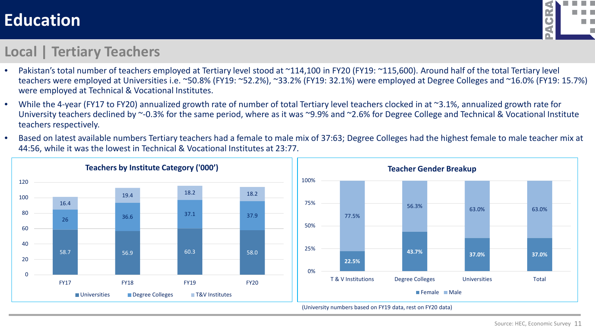

#### **Local | Tertiary Teachers**

- Pakistan's total number of teachers employed at Tertiary level stood at ~114,100 in FY20 (FY19: ~115,600). Around half of the total Tertiary level teachers were employed at Universities i.e. ~50.8% (FY19: ~52.2%), ~33.2% (FY19: 32.1%) were employed at Degree Colleges and ~16.0% (FY19: 15.7%) were employed at Technical & Vocational Institutes.
- While the 4-year (FY17 to FY20) annualized growth rate of number of total Tertiary level teachers clocked in at ~3.1%, annualized growth rate for University teachers declined by ~-0.3% for the same period, where as it was ~9.9% and ~2.6% for Degree College and Technical & Vocational Institute teachers respectively.
- Based on latest available numbers Tertiary teachers had a female to male mix of 37:63; Degree Colleges had the highest female to male teacher mix at 44:56, while it was the lowest in Technical & Vocational Institutes at 23:77.



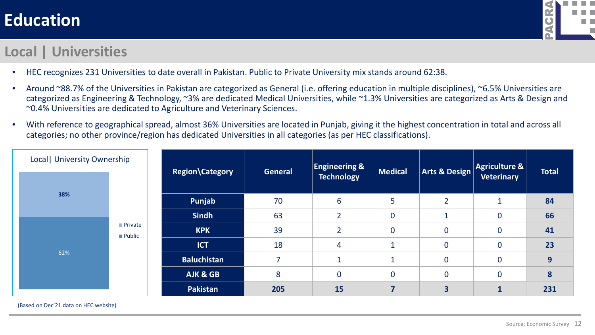

#### **Local | Universities**

- HEC recognizes 231 Universities to date overall in Pakistan. Public to Private University mix stands around 62:38.
- Around ~88.7% of the Universities in Pakistan are categorized as General (i.e. offering education in multiple disciplines), ~6.5% Universities are categorized as Engineering & Technology, ~3% are dedicated Medical Universities, while ~1.3% Universities are categorized as Arts & Design and ~0.4% Universities are dedicated to Agriculture and Veterinary Sciences.
- With reference to geographical spread, almost 36% Universities are located in Punjab, giving it the highest concentration in total and across all categories; no other province/region has dedicated Universities in all categories (as per HEC classifications).

| Local   University Ownership |                                 | Region\Category    | <b>General</b>           | <b>Engineering &amp;</b> | <b>Medical</b>   | <b>Arts &amp; Design</b> | Agriculture &             | <b>Total</b> |
|------------------------------|---------------------------------|--------------------|--------------------------|--------------------------|------------------|--------------------------|---------------------------|--------------|
|                              |                                 |                    |                          | <b>Technology</b>        |                  |                          | <b>Veterinary</b>         |              |
| 38%                          |                                 | Punjab             | 70                       | 6                        | 5                | $\overline{2}$           | и                         | 84           |
|                              |                                 | <b>Sindh</b>       | 63                       | $\overline{2}$           | $\boldsymbol{0}$ | $\blacktriangleleft$     | $\mathbf 0$               | 66           |
|                              | <b>Private</b><br><b>Public</b> | <b>KPK</b>         | 39                       | $\overline{2}$           | $\bf{0}$         | $\mathbf 0$              | $\bf{0}$                  | 41           |
|                              |                                 | <b>ICT</b>         | 18                       | $\overline{4}$           | $\mathbf{1}$     | $\overline{0}$           | $\mathbf 0$               | 23           |
| 62%                          |                                 | <b>Baluchistan</b> | $\overline{\phantom{a}}$ |                          | $\mathbf{1}$     | $\mathbf 0$              | $\bf{0}$                  | 9            |
|                              |                                 | AJK & GB           | 8                        | $\mathbf 0$              | $\mathbf 0$      | $\overline{0}$           | $\mathbf 0$               | 8            |
|                              |                                 | Pakistan           | 205                      | 15                       | 7                | 3                        | $\blacktriangleleft$<br>щ | 231          |

(Based on Dec'21 data on HEC website)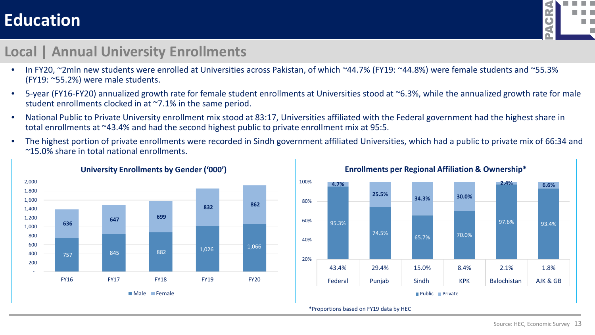

#### **Local | Annual University Enrollments**

- In FY20, ~2mln new students were enrolled at Universities across Pakistan, of which ~44.7% (FY19: ~44.8%) were female students and ~55.3% (FY19: ~55.2%) were male students.
- 5-year (FY16-FY20) annualized growth rate for female student enrollments at Universities stood at ~6.3%, while the annualized growth rate for male student enrollments clocked in at ~7.1% in the same period.
- National Public to Private University enrollment mix stood at 83:17, Universities affiliated with the Federal government had the highest share in total enrollments at ~43.4% and had the second highest public to private enrollment mix at 95:5.
- The highest portion of private enrollments were recorded in Sindh government affiliated Universities, which had a public to private mix of 66:34 and ~15.0% share in total national enrollments.



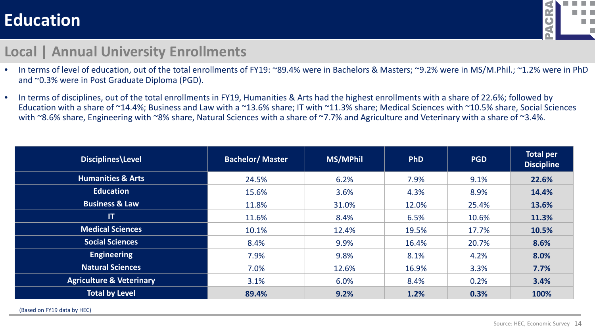

#### **Local | Annual University Enrollments**

- In terms of level of education, out of the total enrollments of FY19: ~89.4% were in Bachelors & Masters; ~9.2% were in MS/M.Phil.; ~1.2% were in PhD and ~0.3% were in Post Graduate Diploma (PGD).
- In terms of disciplines, out of the total enrollments in FY19, Humanities & Arts had the highest enrollments with a share of 22.6%; followed by Education with a share of ~14.4%; Business and Law with a ~13.6% share; IT with ~11.3% share; Medical Sciences with ~10.5% share, Social Sciences with ~8.6% share, Engineering with ~8% share, Natural Sciences with a share of ~7.7% and Agriculture and Veterinary with a share of ~3.4%.

| Disciplines\Level                   | <b>Bachelor/Master</b> | MS/MPhil | <b>PhD</b> | <b>PGD</b> | <b>Total per</b><br><b>Discipline</b> |
|-------------------------------------|------------------------|----------|------------|------------|---------------------------------------|
| <b>Humanities &amp; Arts</b>        | 24.5%                  | 6.2%     | 7.9%       | 9.1%       | 22.6%                                 |
| <b>Education</b>                    | 15.6%                  | 3.6%     | 4.3%       | 8.9%       | 14.4%                                 |
| <b>Business &amp; Law</b>           | 11.8%                  | 31.0%    | 12.0%      | 25.4%      | 13.6%                                 |
| $\mathsf{I}$                        | 11.6%                  | 8.4%     | 6.5%       | 10.6%      | 11.3%                                 |
| <b>Medical Sciences</b>             | 10.1%                  | 12.4%    | 19.5%      | 17.7%      | 10.5%                                 |
| <b>Social Sciences</b>              | 8.4%                   | 9.9%     | 16.4%      | 20.7%      | 8.6%                                  |
| <b>Engineering</b>                  | 7.9%                   | 9.8%     | 8.1%       | 4.2%       | 8.0%                                  |
| <b>Natural Sciences</b>             | 7.0%                   | 12.6%    | 16.9%      | 3.3%       | 7.7%                                  |
| <b>Agriculture &amp; Veterinary</b> | 3.1%                   | 6.0%     | 8.4%       | 0.2%       | 3.4%                                  |
| <b>Total by Level</b>               | 89.4%                  | 9.2%     | 1.2%       | 0.3%       | 100%                                  |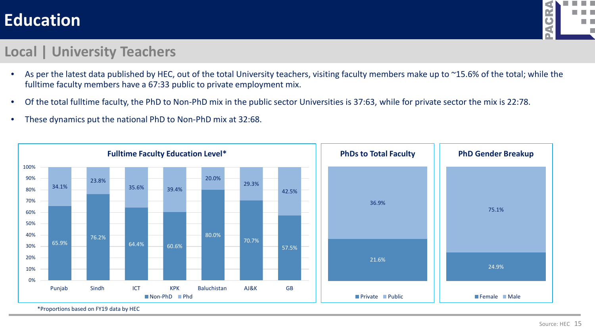

#### **Local | University Teachers**

- As per the latest data published by HEC, out of the total University teachers, visiting faculty members make up to ~15.6% of the total; while the fulltime faculty members have a 67:33 public to private employment mix.
- Of the total fulltime faculty, the PhD to Non-PhD mix in the public sector Universities is 37:63, while for private sector the mix is 22:78.
- These dynamics put the national PhD to Non-PhD mix at 32:68.



\*Proportions based on FY19 data by HEC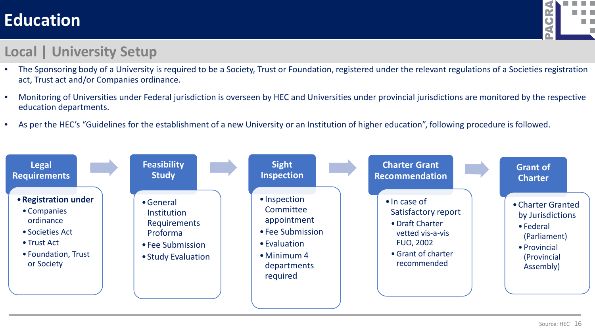

#### **Local | University Setup**

- The Sponsoring body of a University is required to be a Society, Trust or Foundation, registered under the relevant regulations of a Societies registration act, Trust act and/or Companies ordinance.
- Monitoring of Universities under Federal jurisdiction is overseen by HEC and Universities under provincial jurisdictions are monitored by the respective education departments.
- As per the HEC's "Guidelines for the establishment of a new University or an Institution of higher education", following procedure is followed.

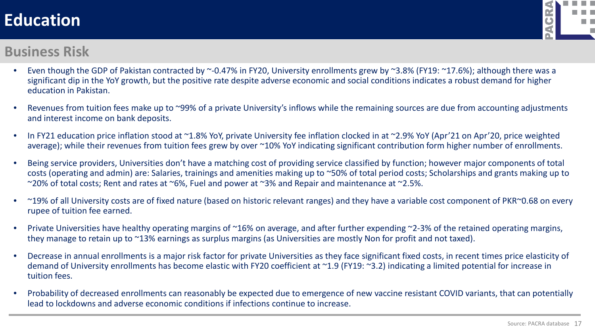

#### **Business Risk**

- Even though the GDP of Pakistan contracted by  $\sim$ -0.47% in FY20, University enrollments grew by  $\sim$ 3.8% (FY19:  $\sim$ 17.6%); although there was a significant dip in the YoY growth, but the positive rate despite adverse economic and social conditions indicates a robust demand for higher education in Pakistan.
- Revenues from tuition fees make up to ~99% of a private University's inflows while the remaining sources are due from accounting adjustments and interest income on bank deposits.
- In FY21 education price inflation stood at ~1.8% YoY, private University fee inflation clocked in at ~2.9% YoY (Apr'21 on Apr'20, price weighted average); while their revenues from tuition fees grew by over ~10% YoY indicating significant contribution form higher number of enrollments.
- Being service providers, Universities don't have a matching cost of providing service classified by function; however major components of total costs (operating and admin) are: Salaries, trainings and amenities making up to ~50% of total period costs; Scholarships and grants making up to ~20% of total costs; Rent and rates at ~6%, Fuel and power at ~3% and Repair and maintenance at ~2.5%.
- ~19% of all University costs are of fixed nature (based on historic relevant ranges) and they have a variable cost component of PKR~0.68 on every rupee of tuition fee earned.
- Private Universities have healthy operating margins of ~16% on average, and after further expending ~2-3% of the retained operating margins, they manage to retain up to ~13% earnings as surplus margins (as Universities are mostly Non for profit and not taxed).
- Decrease in annual enrollments is a major risk factor for private Universities as they face significant fixed costs, in recent times price elasticity of demand of University enrollments has become elastic with FY20 coefficient at ~1.9 (FY19: ~3.2) indicating a limited potential for increase in tuition fees.
- Probability of decreased enrollments can reasonably be expected due to emergence of new vaccine resistant COVID variants, that can potentially lead to lockdowns and adverse economic conditions if infections continue to increase.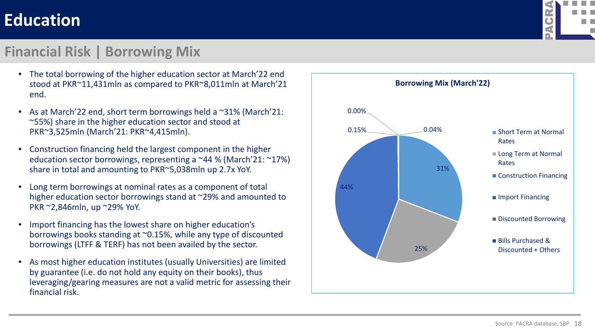

#### **Financial Risk | Borrowing Mix**

- The total borrowing of the higher education sector at March'22 end stood at PKR~11,431mln as compared to PKR~8,011mln at March'21 end.
- As at March'22 end, short term borrowings held a  $\sim$ 31% (March'21: ~55%) share in the higher education sector and stood at PKR~3,525mln (March'21: PKR~4,415mln).
- Construction financing held the largest component in the higher education sector borrowings, representing a ~44 % (March'21: ~17%) share in total and amounting to PKR~5,038mln up 2.7x YoY.
- Long term borrowings at nominal rates as a component of total higher education sector borrowings stand at ~29% and amounted to PKR ~2,846mln, up ~29% YoY.
- Import financing has the lowest share on higher education's borrowings books standing at ~0.15%, while any type of discounted borrowings (LTFF & TERF) has not been availed by the sector.
- As most higher education institutes (usually Universities) are limited by guarantee (i.e. do not hold any equity on their books), thus leveraging/gearing measures are not a valid metric for assessing their financial risk.

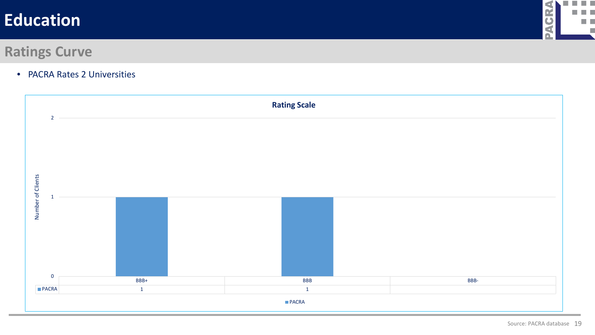

#### **Ratings Curve**

• PACRA Rates 2 Universities

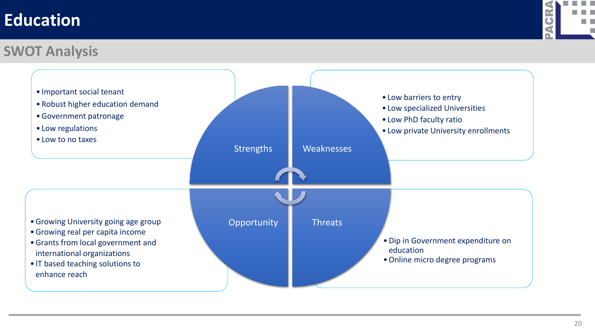

#### **SWOT Analysis**

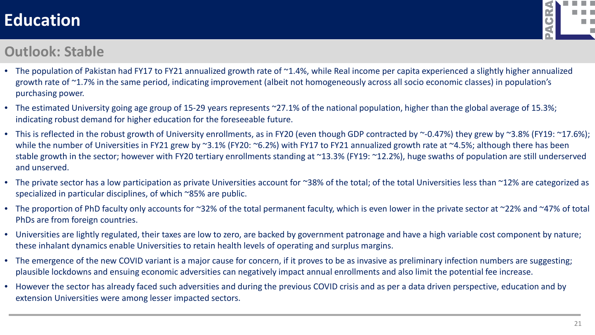

#### **Outlook: Stable**

- The population of Pakistan had FY17 to FY21 annualized growth rate of ~1.4%, while Real income per capita experienced a slightly higher annualized growth rate of ~1.7% in the same period, indicating improvement (albeit not homogeneously across all socio economic classes) in population's purchasing power.
- The estimated University going age group of 15-29 years represents ~27.1% of the national population, higher than the global average of 15.3%; indicating robust demand for higher education for the foreseeable future.
- This is reflected in the robust growth of University enrollments, as in FY20 (even though GDP contracted by ~-0.47%) they grew by ~3.8% (FY19: ~17.6%); while the number of Universities in FY21 grew by ~3.1% (FY20: ~6.2%) with FY17 to FY21 annualized growth rate at ~4.5%; although there has been stable growth in the sector; however with FY20 tertiary enrollments standing at ~13.3% (FY19: ~12.2%), huge swaths of population are still underserved and unserved.
- The private sector has a low participation as private Universities account for ~38% of the total; of the total Universities less than ~12% are categorized as specialized in particular disciplines, of which ~85% are public.
- The proportion of PhD faculty only accounts for ~32% of the total permanent faculty, which is even lower in the private sector at ~22% and ~47% of total PhDs are from foreign countries.
- Universities are lightly regulated, their taxes are low to zero, are backed by government patronage and have a high variable cost component by nature; these inhalant dynamics enable Universities to retain health levels of operating and surplus margins.
- The emergence of the new COVID variant is a major cause for concern, if it proves to be as invasive as preliminary infection numbers are suggesting; plausible lockdowns and ensuing economic adversities can negatively impact annual enrollments and also limit the potential fee increase.
- However the sector has already faced such adversities and during the previous COVID crisis and as per a data driven perspective, education and by extension Universities were among lesser impacted sectors.